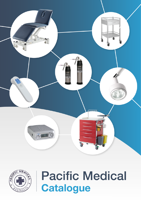



# **Pacific Medical Catalogue**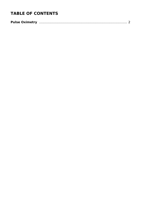# **TABLE OF CONTENTS**

| <b>Pulse Oximetry</b> |  |
|-----------------------|--|
|-----------------------|--|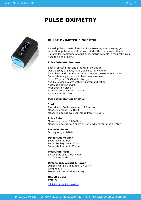# **PULSE OXIMETRY**

<span id="page-2-1"></span><span id="page-2-0"></span>

### **PULSE OXIMETER FINGERTIP**

A small pulse oximeter intended for measuring the pulse oxygen saturation, pulse rate and perfusion index through a users finger. Suitable for monitoring of adult & paediatric patients in medical clinics, hospitals and at home.

#### **Pulse Oximeter Features:**

Special splash proof and drop resistant design OLED display of SpO2, PR, PI, pulse bar & waveform Spot check and continuous pulse oximeter measurement modes Pulse rate analysis for spot check measurement Up to 12 groups SpO2 data storage Audible & visual alarm with low battery indication Automatic power on/off Four direction display Artefact removal & anti motion Accurate & sensitive

#### **Pulse Oximeter Specification:**

#### **Spo2**

Transducer: Dual-wavelength LED sensor Measuring range: 35-100% Measuring accuracy:  $\leq 2\%$  range from 70-100%

#### **Pulse Rate**

Measuring range: 30-240bpm Measuring accuracy:  $\pm 2$ bpm or  $\pm 2$ % (whichever is the greater)

#### **Perfusion Index** Display range: 0-20%

#### **Default Alarm Limit**

SpO2 low limit: 90% Pulse rate high limit: 120bpm Pulse rate low limit: 50bpm

#### **Measuring Mode**

30 seconds spot check mode Continuous mode

**Dimensions, Weight & Power**

Dimensions: 56x34x30mm (L x W x H) Weight: 52g Power: 2 x AAA alkaline battery

**ORDER CODE: PMFPO**

[Click For More Information](https://pacificmedical.com.au/product/fingertip-pulse-oximeter/?utm_source=file&utm_medium=PDF&utm_campaign=pulse-oximetry&utm_term=Pulse+Oximeter+Fingertip)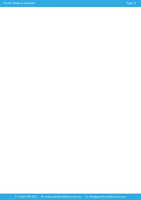P: 1300 076 332 W: www.pacificmedical.com.au E: info@pacificmedical.com.au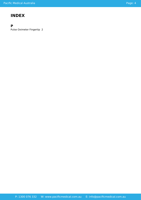# **INDEX**

## **P**

Pulse Oximeter Fingertip [2](#page-2-1)